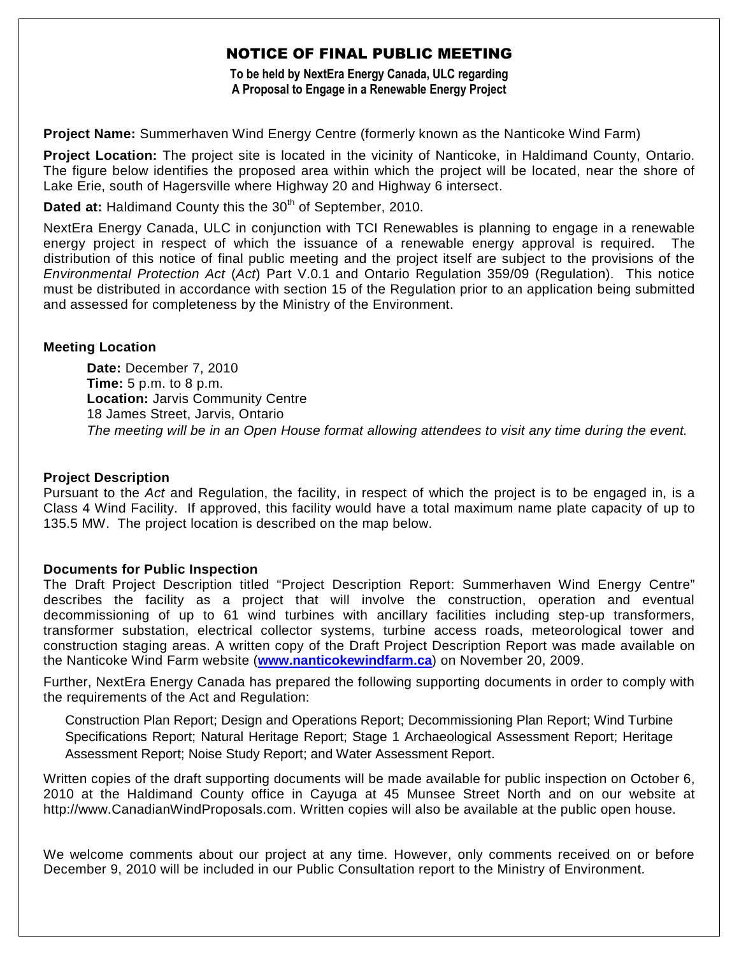# NOTICE OF FINAL PUBLIC MEETING

**To be held by NextEra Energy Canada, ULC regarding A Proposal to Engage in a Renewable Energy Project**

**Project Name:** Summerhaven Wind Energy Centre (formerly known as the Nanticoke Wind Farm)

**Project Location:** The project site is located in the vicinity of Nanticoke, in Haldimand County, Ontario. The figure below identifies the proposed area within which the project will be located, near the shore of Lake Erie, south of Hagersville where Highway 20 and Highway 6 intersect.

**Dated at: Haldimand County this the 30<sup>th</sup> of September, 2010.** 

NextEra Energy Canada, ULC in conjunction with TCI Renewables is planning to engage in a renewable energy project in respect of which the issuance of a renewable energy approval is required. The distribution of this notice of final public meeting and the project itself are subject to the provisions of the *Environmental Protection Act* (*Act*) Part V.0.1 and Ontario Regulation 359/09 (Regulation). This notice must be distributed in accordance with section 15 of the Regulation prior to an application being submitted and assessed for completeness by the Ministry of the Environment.

### **Meeting Location**

**Date:** December 7, 2010 **Time:** 5 p.m. to 8 p.m. **Location:** Jarvis Community Centre 18 James Street, Jarvis, Ontario *The meeting will be in an Open House format allowing attendees to visit any time during the event.*

### **Project Description**

Pursuant to the *Act* and Regulation, the facility, in respect of which the project is to be engaged in, is a Class 4 Wind Facility. If approved, this facility would have a total maximum name plate capacity of up to 135.5 MW. The project location is described on the map below.

#### **Documents for Public Inspection**

The Draft Project Description titled "Project Description Report: Summerhaven Wind Energy Centre" describes the facility as a project that will involve the construction, operation and eventual decommissioning of up to 61 wind turbines with ancillary facilities including step-up transformers, transformer substation, electrical collector systems, turbine access roads, meteorological tower and construction staging areas. A written copy of the Draft Project Description Report was made available on the Nanticoke Wind Farm website (**www.nanticokewindfarm.ca**) on November 20, 2009.

Further, NextEra Energy Canada has prepared the following supporting documents in order to comply with the requirements of the Act and Regulation:

Construction Plan Report; Design and Operations Report; Decommissioning Plan Report; Wind Turbine Specifications Report; Natural Heritage Report; Stage 1 Archaeological Assessment Report; Heritage Assessment Report; Noise Study Report; and Water Assessment Report.

Written copies of the draft supporting documents will be made available for public inspection on October 6, 2010 at the Haldimand County office in Cayuga at 45 Munsee Street North and on our website at http://www.CanadianWindProposals.com. Written copies will also be available at the public open house.

We welcome comments about our project at any time. However, only comments received on or before December 9, 2010 will be included in our Public Consultation report to the Ministry of Environment.